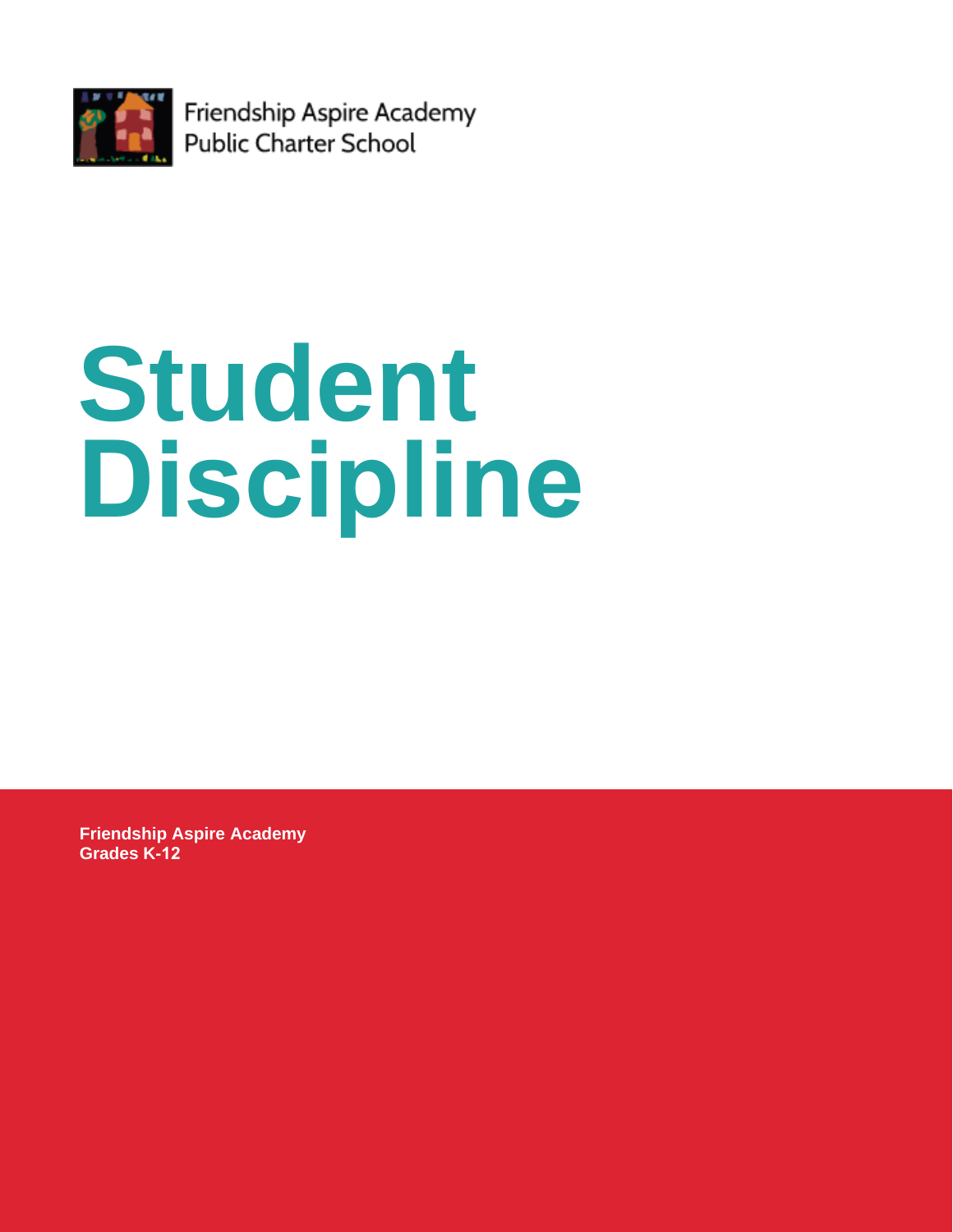

Friendship Aspire Academy Public Charter School

# **Student Discipline**

**Friendship Aspire Academy Grades K-12**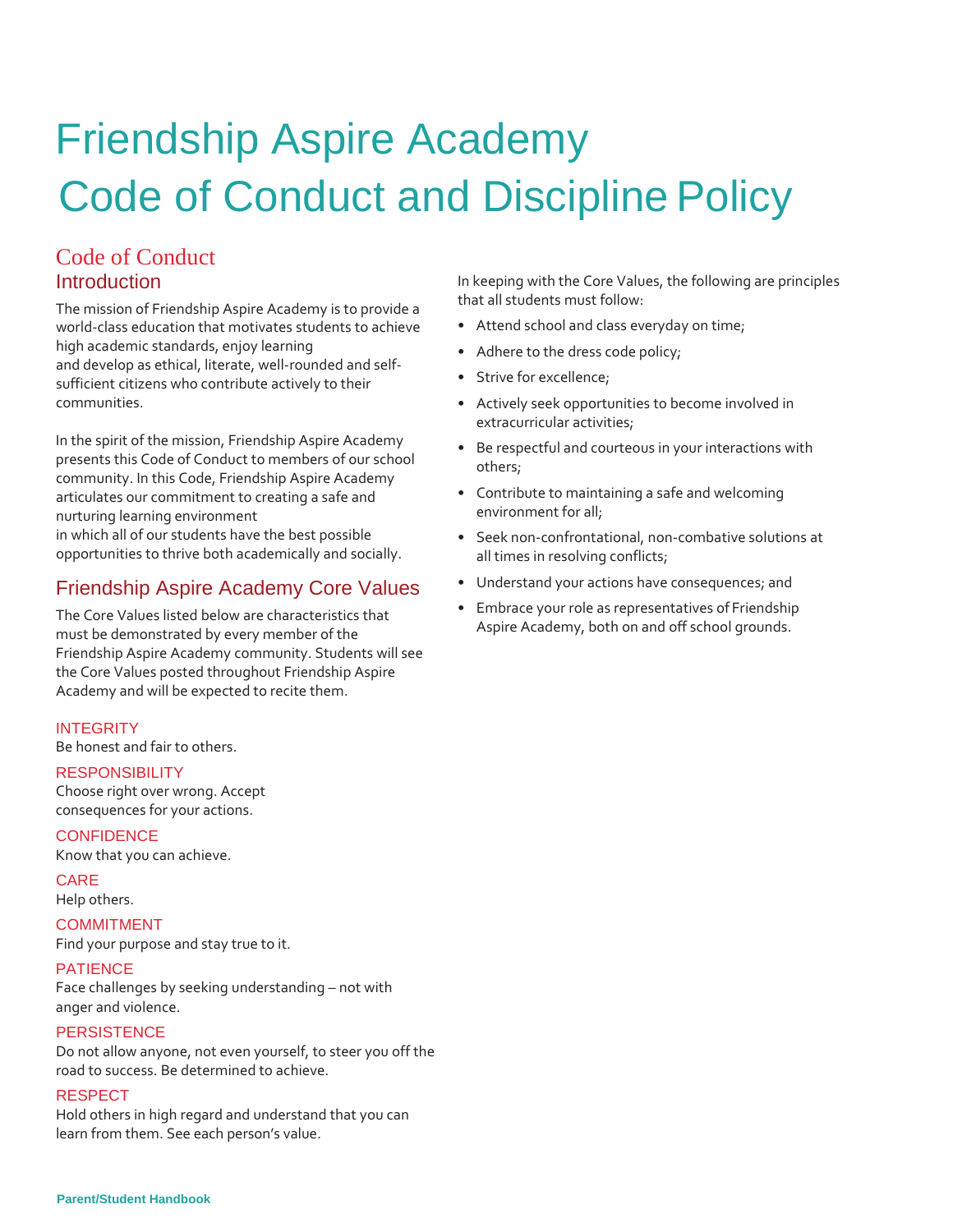# Friendship Aspire Academy Code of Conduct and Discipline Policy

# Code of Conduct **Introduction**

The mission of Friendship Aspire Academy is to provide a world-class education that motivates students to achieve high academic standards, enjoy learning and develop as ethical, literate, well-rounded and selfsufficient citizens who contribute actively to their communities.

In the spirit of the mission, Friendship Aspire Academy presents this Code of Conduct to members of our school community. In this Code, Friendship Aspire Academy articulates our commitment to creating a safe and nurturing learning environment in which all of our students have the best possible opportunities to thrive both academically and socially.

## Friendship Aspire Academy Core Values

The Core Values listed below are characteristics that must be demonstrated by every member of the Friendship Aspire Academy community. Students will see the Core Values posted throughout Friendship Aspire Academy and will be expected to recite them.

#### **INTEGRITY**

Be honest and fair to others.

#### **RESPONSIBILITY**

Choose right over wrong. Accept consequences for your actions.

#### **CONFIDENCE**

Know that you can achieve.

#### CARE

Help others.

#### COMMITMENT

Find your purpose and stay true to it.

#### **PATIENCE**

Face challenges by seeking understanding – not with anger and violence.

#### **PERSISTENCE**

Do not allow anyone, not even yourself, to steer you off the road to success. Be determined to achieve.

#### RESPECT

Hold others in high regard and understand that you can learn from them. See each person's value.

In keeping with the Core Values, the following are principles that all students must follow:

- Attend school and class everyday on time;
- Adhere to the dress code policy;
- Strive for excellence;
- Actively seek opportunities to become involved in extracurricular activities;
- Be respectful and courteous in your interactions with others;
- Contribute to maintaining a safe and welcoming environment for all;
- Seek non-confrontational, non-combative solutions at all times in resolving conflicts;
- Understand your actions have consequences; and
- Embrace your role as representatives of Friendship Aspire Academy, both on and off school grounds.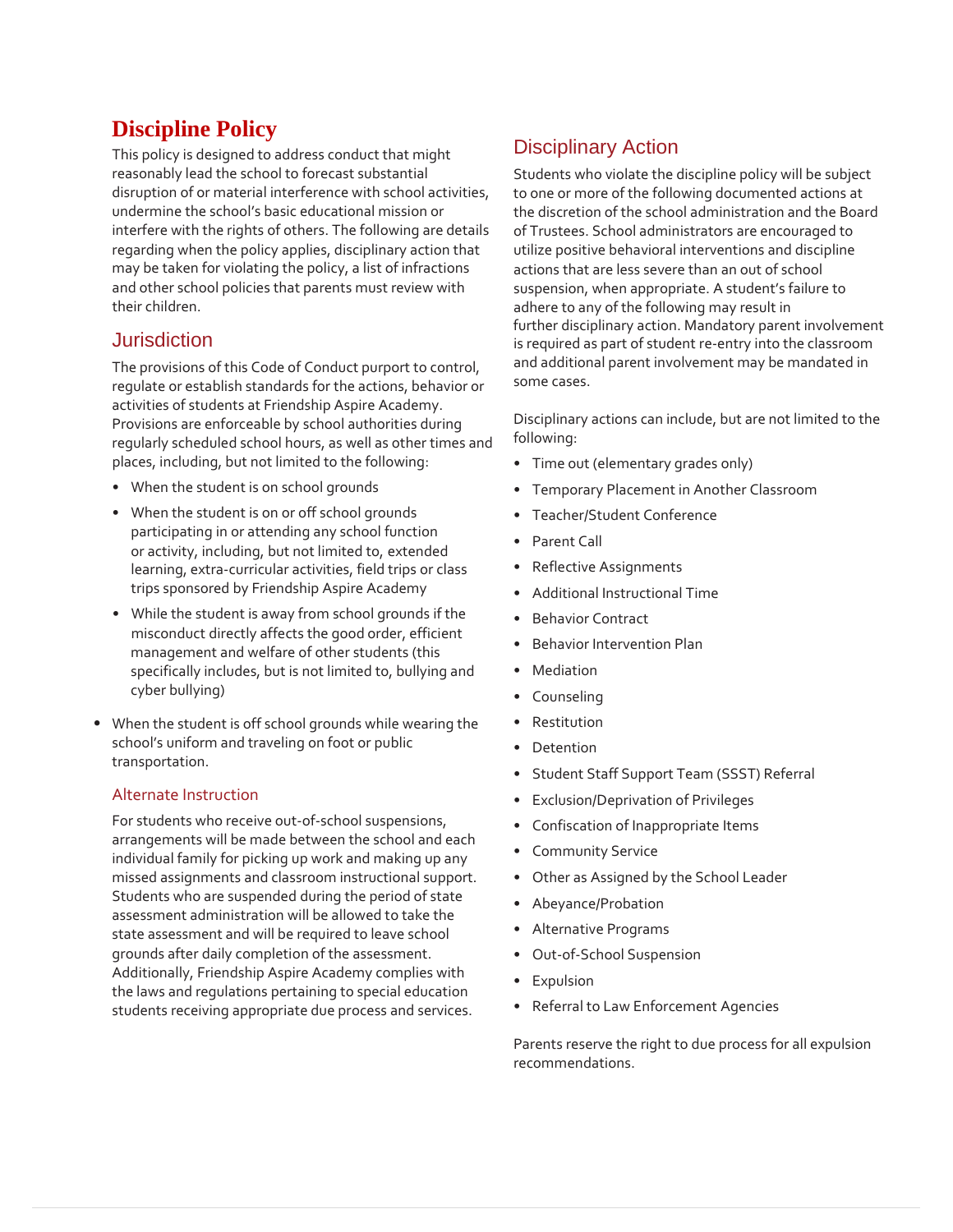# **Discipline Policy**

This policy is designed to address conduct that might reasonably lead the school to forecast substantial disruption of or material interference with school activities, undermine the school's basic educational mission or interfere with the rights of others. The following are details regarding when the policy applies, disciplinary action that may be taken for violating the policy, a list of infractions and other school policies that parents must review with their children.

### Jurisdiction

The provisions of this Code of Conduct purport to control, regulate or establish standards for the actions, behavior or activities of students at Friendship Aspire Academy. Provisions are enforceable by school authorities during regularly scheduled school hours, as well as other times and places, including, but not limited to the following:

- When the student is on school grounds
- When the student is on or off school grounds participating in or attending any school function or activity, including, but not limited to, extended learning, extra-curricular activities, field trips or class trips sponsored by Friendship Aspire Academy
- While the student is away from school grounds if the misconduct directly affects the good order, efficient management and welfare of other students (this specifically includes, but is not limited to, bullying and cyber bullying)
- When the student is off school grounds while wearing the school's uniform and traveling on foot or public transportation.

#### Alternate Instruction

For students who receive out-of-school suspensions, arrangements will be made between the school and each individual family for picking up work and making up any missed assignments and classroom instructional support. Students who are suspended during the period of state assessment administration will be allowed to take the state assessment and will be required to leave school grounds after daily completion of the assessment. Additionally, Friendship Aspire Academy complies with the laws and regulations pertaining to special education students receiving appropriate due process and services.

# Disciplinary Action

Students who violate the discipline policy will be subject to one or more of the following documented actions at the discretion of the school administration and the Board of Trustees. School administrators are encouraged to utilize positive behavioral interventions and discipline actions that are less severe than an out of school suspension, when appropriate. A student's failure to adhere to any of the following may result in further disciplinary action. Mandatory parent involvement is required as part of student re-entry into the classroom and additional parent involvement may be mandated in some cases.

Disciplinary actions can include, but are not limited to the following:

- Time out (elementary grades only)
- Temporary Placement in Another Classroom
- Teacher/Student Conference
- Parent Call
- Reflective Assignments
- Additional Instructional Time
- Behavior Contract
- Behavior Intervention Plan
- Mediation
- Counseling
- **Restitution**
- **Detention**
- Student Staff Support Team (SSST) Referral
- Exclusion/Deprivation of Privileges
- Confiscation of Inappropriate Items
- Community Service
- Other as Assigned by the School Leader
- Abeyance/Probation
- Alternative Programs
- Out-of-School Suspension
- Expulsion
- Referral to Law Enforcement Agencies

Parents reserve the right to due process for all expulsion recommendations.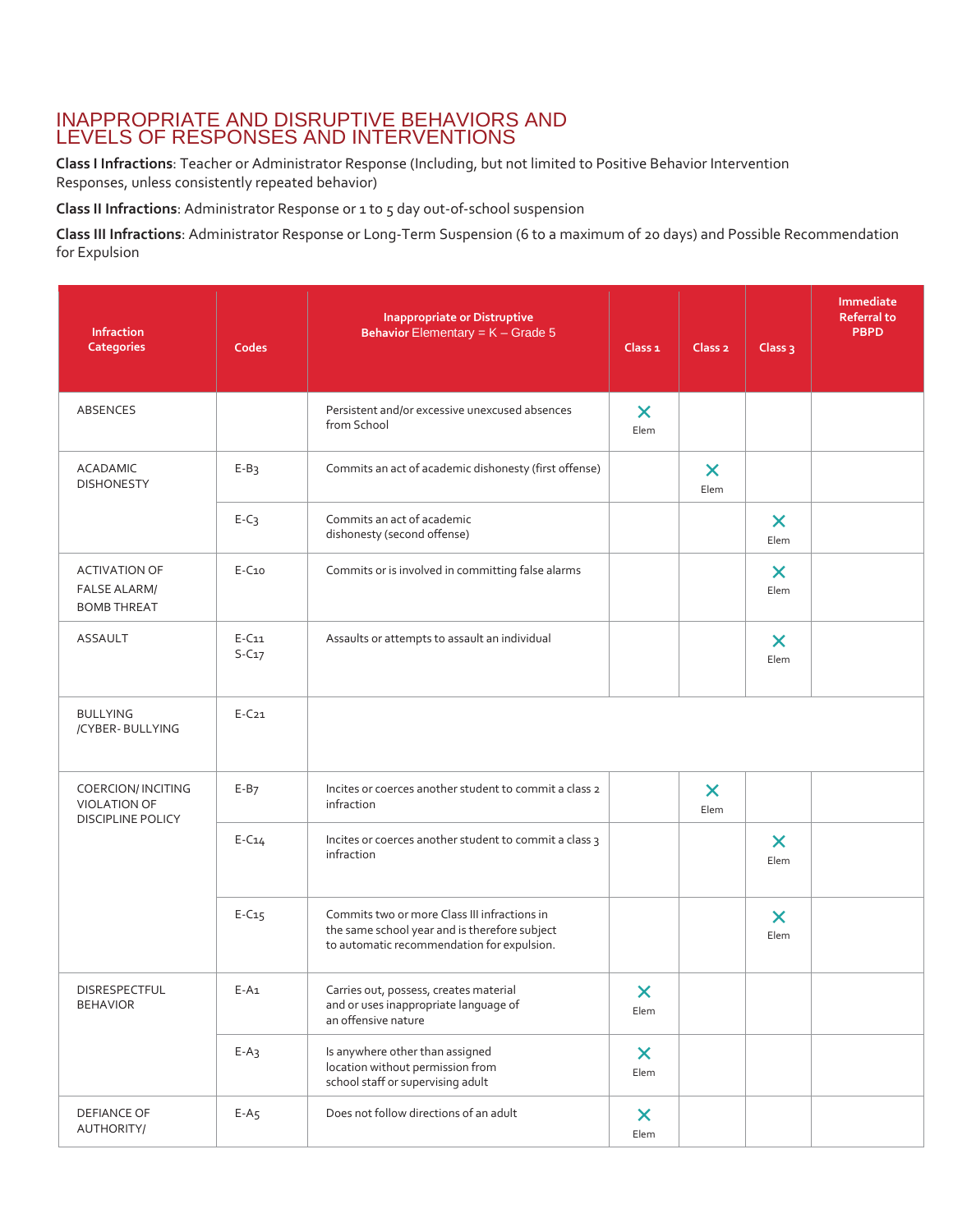#### INAPPROPRIATE AND DISRUPTIVE BEHAVIORS AND LEVELS OF RESPONSES AND INTERVENTIONS

**Class I Infractions**: Teacher or Administrator Response (Including, but not limited to Positive Behavior Intervention Responses, unless consistently repeated behavior)

**Class II Infractions**: Administrator Response or 1 to 5 day out-of-school suspension

**Class III Infractions**: Administrator Response or Long-Term Suspension (6 to a maximum of 20 days) and Possible Recommendation for Expulsion

| Infraction<br><b>Categories</b>                                       | Codes              | <b>Inappropriate or Distruptive</b><br>Behavior Elementary = $K -$ Grade 5                                                                  | Class <sub>1</sub>                | Class <sub>2</sub>                | Class <sub>3</sub>                | Immediate<br><b>Referral to</b><br><b>PBPD</b> |
|-----------------------------------------------------------------------|--------------------|---------------------------------------------------------------------------------------------------------------------------------------------|-----------------------------------|-----------------------------------|-----------------------------------|------------------------------------------------|
| ABSENCES                                                              |                    | Persistent and/or excessive unexcused absences<br>from School                                                                               | $\boldsymbol{\times}$<br>Elem     |                                   |                                   |                                                |
| <b>ACADAMIC</b><br><b>DISHONESTY</b>                                  | $E-B3$             | Commits an act of academic dishonesty (first offense)                                                                                       |                                   | $\boldsymbol{\mathsf{x}}$<br>Elem |                                   |                                                |
|                                                                       | $E-C3$             | Commits an act of academic<br>dishonesty (second offense)                                                                                   |                                   |                                   | $\boldsymbol{\mathsf{x}}$<br>Elem |                                                |
| <b>ACTIVATION OF</b><br><b>FALSE ALARM/</b><br><b>BOMB THREAT</b>     | $E-C10$            | Commits or is involved in committing false alarms                                                                                           |                                   |                                   | $\times$<br>Elem                  |                                                |
| <b>ASSAULT</b>                                                        | $E-C11$<br>$S-C17$ | Assaults or attempts to assault an individual                                                                                               |                                   |                                   | $\boldsymbol{\mathsf{x}}$<br>Elem |                                                |
| <b>BULLYING</b><br>/CYBER-BULLYING                                    | $E-C21$            |                                                                                                                                             |                                   |                                   |                                   |                                                |
| COERCION/ INCITING<br><b>VIOLATION OF</b><br><b>DISCIPLINE POLICY</b> | $E-B7$             | Incites or coerces another student to commit a class 2<br>infraction                                                                        |                                   | $\boldsymbol{\mathsf{x}}$<br>Elem |                                   |                                                |
|                                                                       | $E-C14$            | Incites or coerces another student to commit a class 3<br>infraction                                                                        |                                   |                                   | $\boldsymbol{\mathsf{x}}$<br>Elem |                                                |
|                                                                       | $E-C15$            | Commits two or more Class III infractions in<br>the same school year and is therefore subject<br>to automatic recommendation for expulsion. |                                   |                                   | $\times$<br>Elem                  |                                                |
| DISRESPECTFUL<br><b>BEHAVIOR</b>                                      | $E-A1$             | Carries out, possess, creates material<br>and or uses inappropriate language of<br>an offensive nature                                      | $\bm{\mathsf{x}}$<br>Elem         |                                   |                                   |                                                |
|                                                                       | $E-A_3$            | Is anywhere other than assigned<br>location without permission from<br>school staff or supervising adult                                    | $\boldsymbol{\mathsf{x}}$<br>Elem |                                   |                                   |                                                |
| DEFIANCE OF<br>AUTHORITY/                                             | $E-A5$             | Does not follow directions of an adult                                                                                                      | $\boldsymbol{\mathsf{x}}$<br>Elem |                                   |                                   |                                                |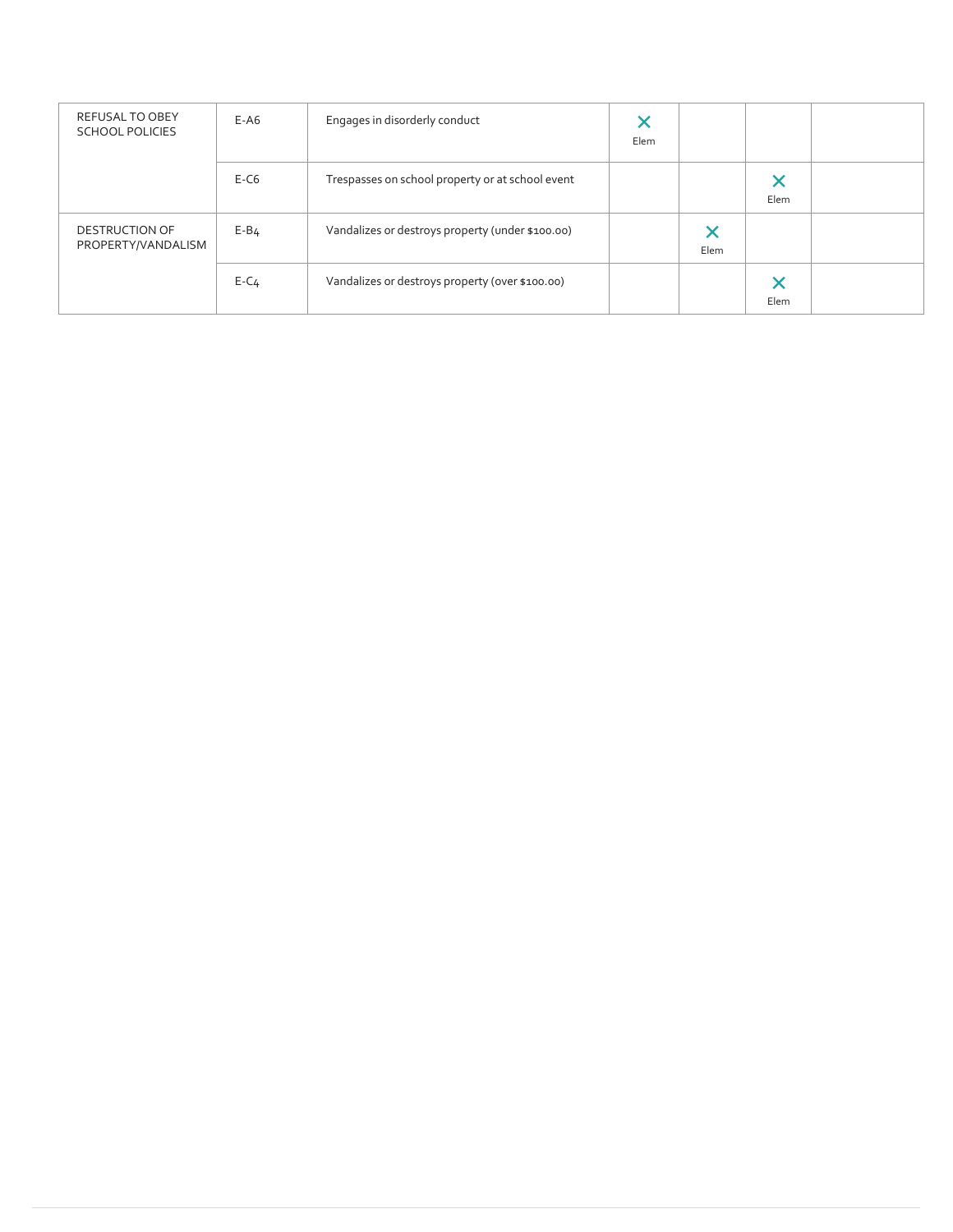| REFUSAL TO OBEY<br><b>SCHOOL POLICIES</b>   | $E-AG$   | Engages in disorderly conduct                    | Elem |           |           |  |
|---------------------------------------------|----------|--------------------------------------------------|------|-----------|-----------|--|
|                                             | $E-C6$   | Trespasses on school property or at school event |      |           | ×<br>Elem |  |
| <b>DESTRUCTION OF</b><br>PROPERTY/VANDALISM | $E - B4$ | Vandalizes or destroys property (under \$100.00) |      | ×<br>Elem |           |  |
|                                             | $E - C4$ | Vandalizes or destroys property (over \$100.00)  |      |           | X<br>Elem |  |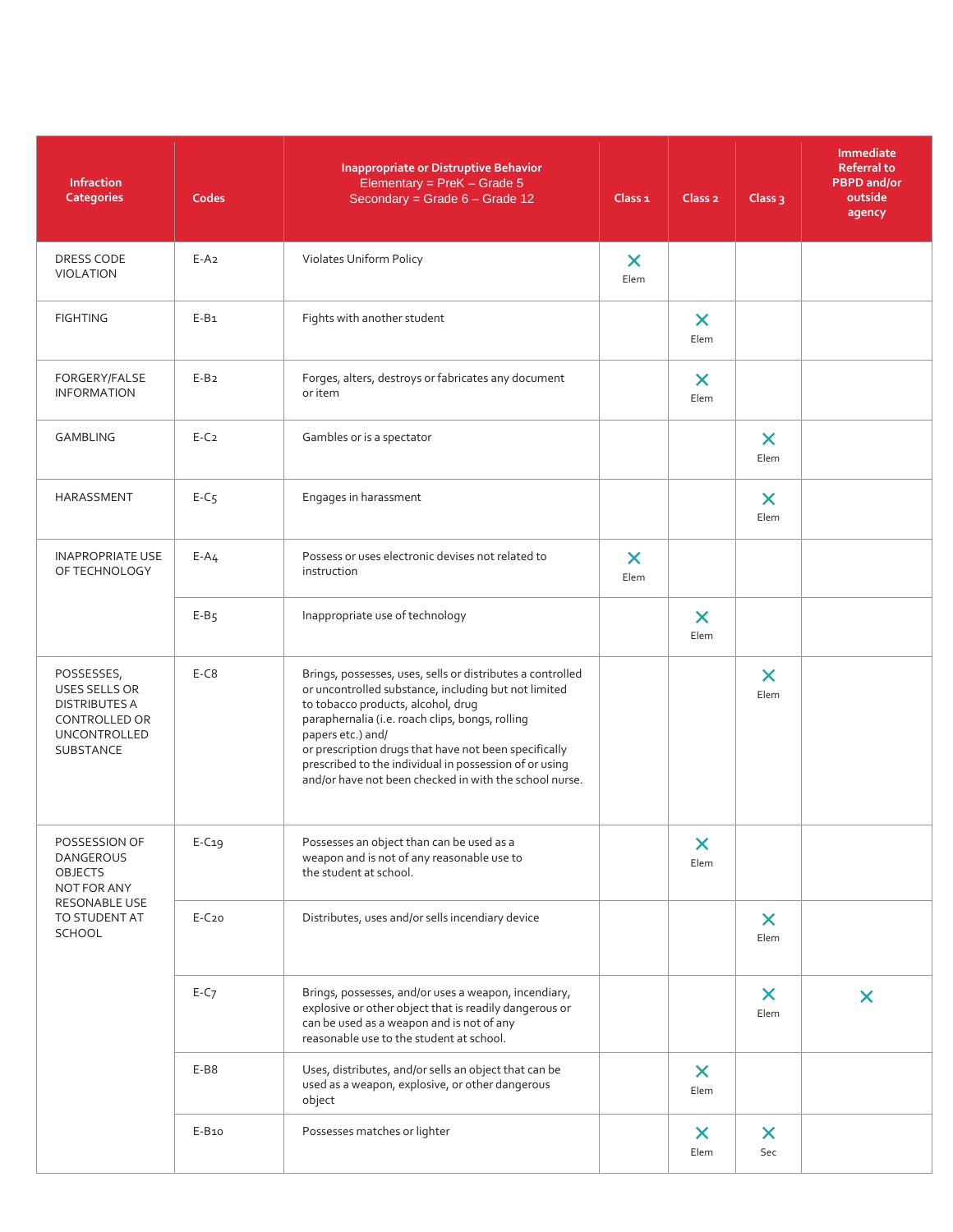| Infraction<br><b>Categories</b>                                                                                        | Codes    | <b>Inappropriate or Distruptive Behavior</b><br>Elementary = $PreK - Grade 5$<br>Secondary = Grade 6 - Grade 12                                                                                                                                                                                                                                                                                               | Class <sub>1</sub>                | Class <sub>2</sub>                | Class $3$                         | Immediate<br><b>Referral to</b><br><b>PBPD</b> and/or<br>outside<br>agency |
|------------------------------------------------------------------------------------------------------------------------|----------|---------------------------------------------------------------------------------------------------------------------------------------------------------------------------------------------------------------------------------------------------------------------------------------------------------------------------------------------------------------------------------------------------------------|-----------------------------------|-----------------------------------|-----------------------------------|----------------------------------------------------------------------------|
| DRESS CODE<br><b>VIOLATION</b>                                                                                         | $E-A2$   | Violates Uniform Policy                                                                                                                                                                                                                                                                                                                                                                                       | $\boldsymbol{\mathsf{X}}$<br>Elem |                                   |                                   |                                                                            |
| <b>FIGHTING</b>                                                                                                        | $E-B1$   | Fights with another student                                                                                                                                                                                                                                                                                                                                                                                   |                                   | $\boldsymbol{\mathsf{X}}$<br>Elem |                                   |                                                                            |
| FORGERY/FALSE<br><b>INFORMATION</b>                                                                                    | $E-B2$   | Forges, alters, destroys or fabricates any document<br>or item                                                                                                                                                                                                                                                                                                                                                |                                   | $\boldsymbol{\mathsf{x}}$<br>Elem |                                   |                                                                            |
| <b>GAMBLING</b>                                                                                                        | $E-C2$   | Gambles or is a spectator                                                                                                                                                                                                                                                                                                                                                                                     |                                   |                                   | $\boldsymbol{\mathsf{x}}$<br>Elem |                                                                            |
| HARASSMENT                                                                                                             | $E-C5$   | Engages in harassment                                                                                                                                                                                                                                                                                                                                                                                         |                                   |                                   | $\boldsymbol{\mathsf{x}}$<br>Elem |                                                                            |
| <b>INAPROPRIATE USE</b><br>OF TECHNOLOGY                                                                               | $E - A4$ | Possess or uses electronic devises not related to<br>instruction                                                                                                                                                                                                                                                                                                                                              | $\boldsymbol{\mathsf{x}}$<br>Elem |                                   |                                   |                                                                            |
|                                                                                                                        | $E-B5$   | Inappropriate use of technology                                                                                                                                                                                                                                                                                                                                                                               |                                   | $\boldsymbol{\times}$<br>Elem     |                                   |                                                                            |
| POSSESSES,<br>USES SELLS OR<br><b>DISTRIBUTES A</b><br><b>CONTROLLED OR</b><br><b>UNCONTROLLED</b><br><b>SUBSTANCE</b> | $E-C8$   | Brings, possesses, uses, sells or distributes a controlled<br>or uncontrolled substance, including but not limited<br>to tobacco products, alcohol, drug<br>paraphernalia (i.e. roach clips, bongs, rolling<br>papers etc.) and/<br>or prescription drugs that have not been specifically<br>prescribed to the individual in possession of or using<br>and/or have not been checked in with the school nurse. |                                   |                                   | $\bm{\times}$<br>Elem             |                                                                            |
| POSSESSION OF<br><b>DANGEROUS</b><br><b>OBJECTS</b><br>NOT FOR ANY<br>RESONABLE USE<br>TO STUDENT AT<br><b>SCHOOL</b>  | $E-C19$  | Possesses an object than can be used as a<br>weapon and is not of any reasonable use to<br>the student at school.                                                                                                                                                                                                                                                                                             |                                   | $\boldsymbol{\mathsf{x}}$<br>Elem |                                   |                                                                            |
|                                                                                                                        | $E-C20$  | Distributes, uses and/or sells incendiary device                                                                                                                                                                                                                                                                                                                                                              |                                   |                                   | $\boldsymbol{\mathsf{x}}$<br>Elem |                                                                            |
|                                                                                                                        | $E-C7$   | Brings, possesses, and/or uses a weapon, incendiary,<br>explosive or other object that is readily dangerous or<br>can be used as a weapon and is not of any<br>reasonable use to the student at school.                                                                                                                                                                                                       |                                   |                                   | $\boldsymbol{\mathsf{x}}$<br>Elem | $\boldsymbol{\mathsf{x}}$                                                  |
|                                                                                                                        | E-B8     | Uses, distributes, and/or sells an object that can be<br>used as a weapon, explosive, or other dangerous<br>object                                                                                                                                                                                                                                                                                            |                                   | $\boldsymbol{\mathsf{x}}$<br>Elem |                                   |                                                                            |
|                                                                                                                        | E-B10    | Possesses matches or lighter                                                                                                                                                                                                                                                                                                                                                                                  |                                   | $\boldsymbol{\mathsf{x}}$<br>Elem | $\boldsymbol{\mathsf{x}}$<br>Sec  |                                                                            |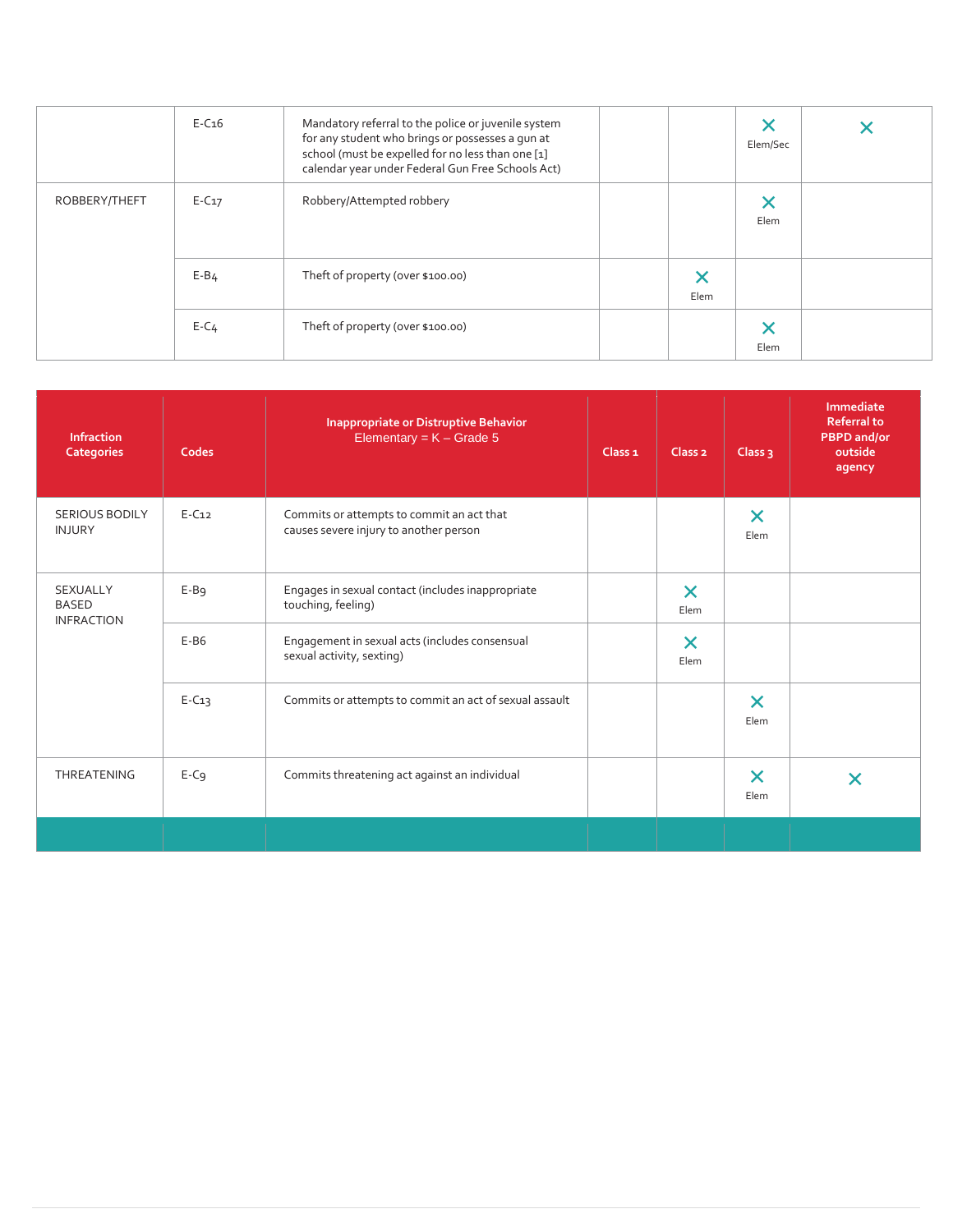|               | $E-C16$  | Mandatory referral to the police or juvenile system<br>for any student who brings or possesses a gun at<br>school (must be expelled for no less than one [1]<br>calendar year under Federal Gun Free Schools Act) |      | Elem/Sec |  |
|---------------|----------|-------------------------------------------------------------------------------------------------------------------------------------------------------------------------------------------------------------------|------|----------|--|
| ROBBERY/THEFT | $E-C17$  | Robbery/Attempted robbery                                                                                                                                                                                         |      | Elem     |  |
|               | $E - B4$ | Theft of property (over \$100.00)                                                                                                                                                                                 | Elem |          |  |
|               | $E - C4$ | Theft of property (over \$100.00)                                                                                                                                                                                 |      | Elem     |  |

| <b>Infraction</b><br><b>Categories</b>               | Codes   | <b>Inappropriate or Distruptive Behavior</b><br>Elementary = $K -$ Grade 5          | Class <sub>1</sub> | Class <sub>2</sub>            | Class $3$                     | Immediate<br><b>Referral to</b><br><b>PBPD</b> and/or<br>outside<br>agency |
|------------------------------------------------------|---------|-------------------------------------------------------------------------------------|--------------------|-------------------------------|-------------------------------|----------------------------------------------------------------------------|
| <b>SERIOUS BODILY</b><br><b>INJURY</b>               | $E-C12$ | Commits or attempts to commit an act that<br>causes severe injury to another person |                    |                               | $\boldsymbol{\times}$<br>Elem |                                                                            |
| <b>SEXUALLY</b><br><b>BASED</b><br><b>INFRACTION</b> | $E-B9$  | Engages in sexual contact (includes inappropriate<br>touching, feeling)             |                    | $\boldsymbol{\times}$<br>Elem |                               |                                                                            |
|                                                      | $E-B6$  | Engagement in sexual acts (includes consensual<br>sexual activity, sexting)         |                    | $\boldsymbol{\times}$<br>Elem |                               |                                                                            |
|                                                      | $E-C13$ | Commits or attempts to commit an act of sexual assault                              |                    |                               | $\boldsymbol{\times}$<br>Elem |                                                                            |
| THREATENING                                          | $E-C9$  | Commits threatening act against an individual                                       |                    |                               | $\bm{\times}$<br>Elem         | X                                                                          |
|                                                      |         |                                                                                     |                    |                               |                               |                                                                            |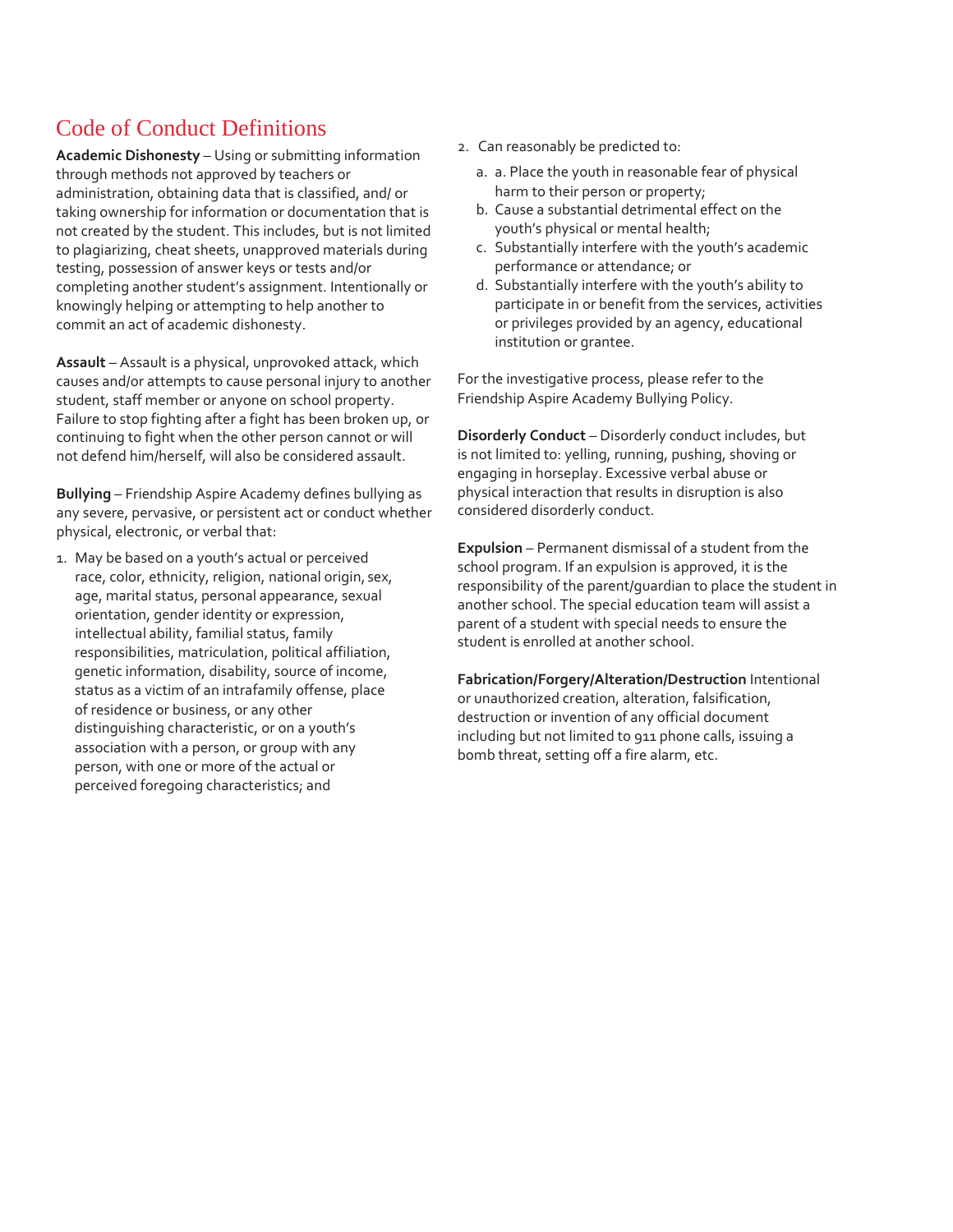# Code of Conduct Definitions

**Academic Dishonesty** – Using or submitting information through methods not approved by teachers or administration, obtaining data that is classified, and/ or taking ownership for information or documentation that is not created by the student. This includes, but is not limited to plagiarizing, cheat sheets, unapproved materials during testing, possession of answer keys or tests and/or completing another student's assignment. Intentionally or knowingly helping or attempting to help another to commit an act of academic dishonesty.

**Assault** – Assault is a physical, unprovoked attack, which causes and/or attempts to cause personal injury to another student, staff member or anyone on school property. Failure to stop fighting after a fight has been broken up, or continuing to fight when the other person cannot or will not defend him/herself, will also be considered assault.

**Bullying** – Friendship Aspire Academy defines bullying as any severe, pervasive, or persistent act or conduct whether physical, electronic, or verbal that:

1. May be based on a youth's actual or perceived race, color, ethnicity, religion, national origin, sex, age, marital status, personal appearance, sexual orientation, gender identity or expression, intellectual ability, familial status, family responsibilities, matriculation, political affiliation, genetic information, disability, source of income, status as a victim of an intrafamily offense, place of residence or business, or any other distinguishing characteristic, or on a youth's association with a person, or group with any person, with one or more of the actual or perceived foregoing characteristics; and

- 2. Can reasonably be predicted to:
	- a. a. Place the youth in reasonable fear of physical harm to their person or property;
	- b. Cause a substantial detrimental effect on the youth's physical or mental health;
	- c. Substantially interfere with the youth's academic performance or attendance; or
	- d. Substantially interfere with the youth's ability to participate in or benefit from the services, activities or privileges provided by an agency, educational institution or grantee.

For the investigative process, please refer to the Friendship Aspire Academy Bullying Policy.

**Disorderly Conduct** – Disorderly conduct includes, but is not limited to: yelling, running, pushing, shoving or engaging in horseplay. Excessive verbal abuse or physical interaction that results in disruption is also considered disorderly conduct.

**Expulsion** – Permanent dismissal of a student from the school program. If an expulsion is approved, it is the responsibility of the parent/guardian to place the student in another school. The special education team will assist a parent of a student with special needs to ensure the student is enrolled at another school.

**Fabrication/Forgery/Alteration/Destruction** Intentional or unauthorized creation, alteration, falsification, destruction or invention of any official document including but not limited to 911 phone calls, issuing a bomb threat, setting off a fire alarm, etc.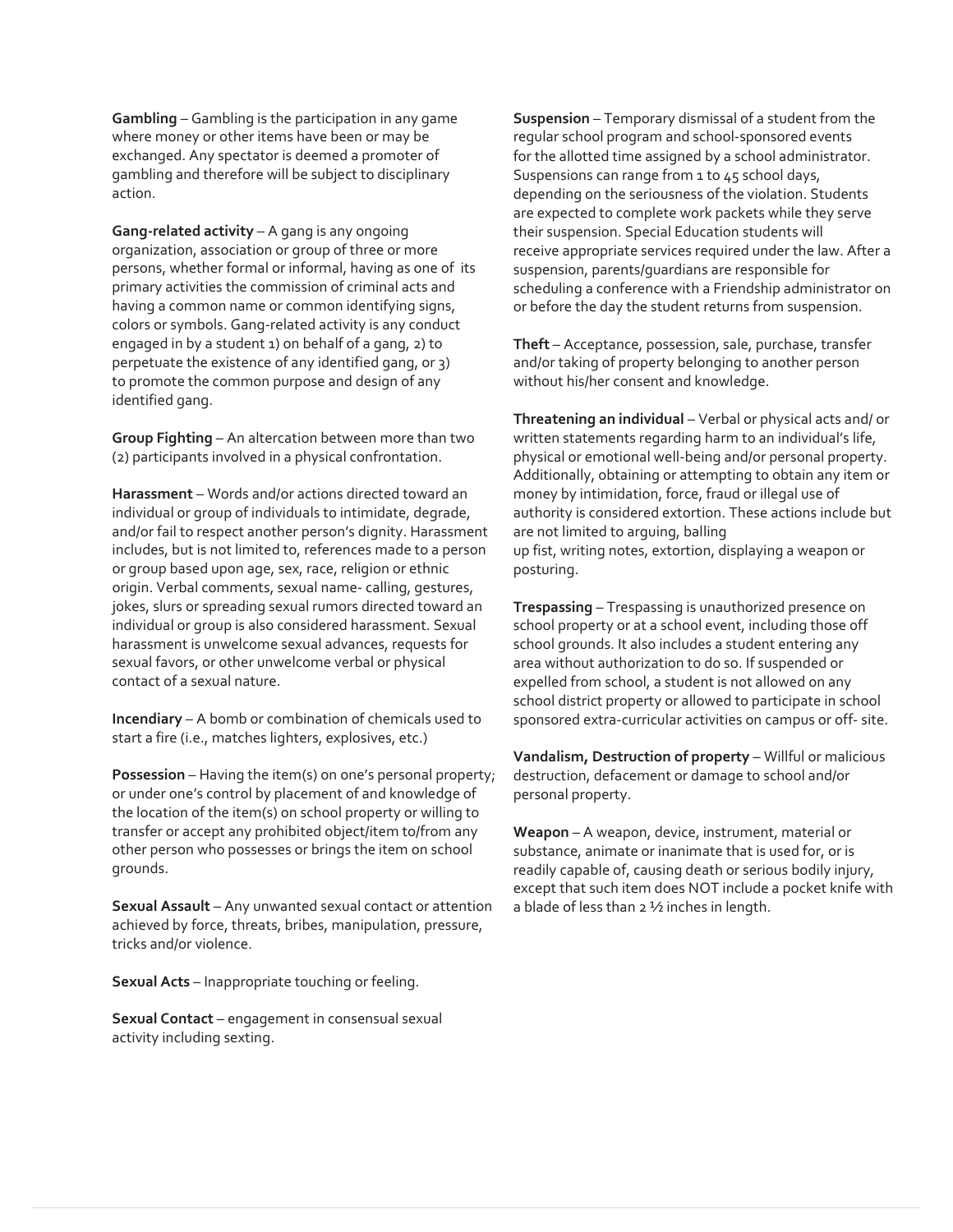**Gambling** – Gambling is the participation in any game where money or other items have been or may be exchanged. Any spectator is deemed a promoter of gambling and therefore will be subject to disciplinary action.

**Gang-related activity** – A gang is any ongoing organization, association or group of three or more persons, whether formal or informal, having as one of its primary activities the commission of criminal acts and having a common name or common identifying signs, colors or symbols. Gang-related activity is any conduct engaged in by a student 1) on behalf of a gang, 2) to perpetuate the existence of any identified gang, or 3) to promote the common purpose and design of any identified gang.

**Group Fighting** – An altercation between more than two (2) participants involved in a physical confrontation.

**Harassment** – Words and/or actions directed toward an individual or group of individuals to intimidate, degrade, and/or fail to respect another person's dignity. Harassment includes, but is not limited to, references made to a person or group based upon age, sex, race, religion or ethnic origin. Verbal comments, sexual name- calling, gestures, jokes, slurs or spreading sexual rumors directed toward an individual or group is also considered harassment. Sexual harassment is unwelcome sexual advances, requests for sexual favors, or other unwelcome verbal or physical contact of a sexual nature.

**Incendiary** – A bomb or combination of chemicals used to start a fire (i.e., matches lighters, explosives, etc.)

**Possession** – Having the item(s) on one's personal property; or under one's control by placement of and knowledge of the location of the item(s) on school property or willing to transfer or accept any prohibited object/item to/from any other person who possesses or brings the item on school grounds.

**Sexual Assault** – Any unwanted sexual contact or attention achieved by force, threats, bribes, manipulation, pressure, tricks and/or violence.

**Sexual Acts** – Inappropriate touching or feeling.

**Sexual Contact** – engagement in consensual sexual activity including sexting.

**Suspension** – Temporary dismissal of a student from the regular school program and school-sponsored events for the allotted time assigned by a school administrator. Suspensions can range from 1 to 45 school days, depending on the seriousness of the violation. Students are expected to complete work packets while they serve their suspension. Special Education students will receive appropriate services required under the law. After a suspension, parents/guardians are responsible for scheduling a conference with a Friendship administrator on or before the day the student returns from suspension.

**Theft** – Acceptance, possession, sale, purchase, transfer and/or taking of property belonging to another person without his/her consent and knowledge.

**Threatening an individual** – Verbal or physical acts and/ or written statements regarding harm to an individual's life, physical or emotional well-being and/or personal property. Additionally, obtaining or attempting to obtain any item or money by intimidation, force, fraud or illegal use of authority is considered extortion. These actions include but are not limited to arguing, balling up fist, writing notes, extortion, displaying a weapon or posturing.

**Trespassing** – Trespassing is unauthorized presence on school property or at a school event, including those off school grounds. It also includes a student entering any area without authorization to do so. If suspended or expelled from school, a student is not allowed on any school district property or allowed to participate in school sponsored extra-curricular activities on campus or off- site.

**Vandalism, Destruction of property** – Willful or malicious destruction, defacement or damage to school and/or personal property.

**Weapon** – A weapon, device, instrument, material or substance, animate or inanimate that is used for, or is readily capable of, causing death or serious bodily injury, except that such item does NOT include a pocket knife with a blade of less than 2 ½ inches in length.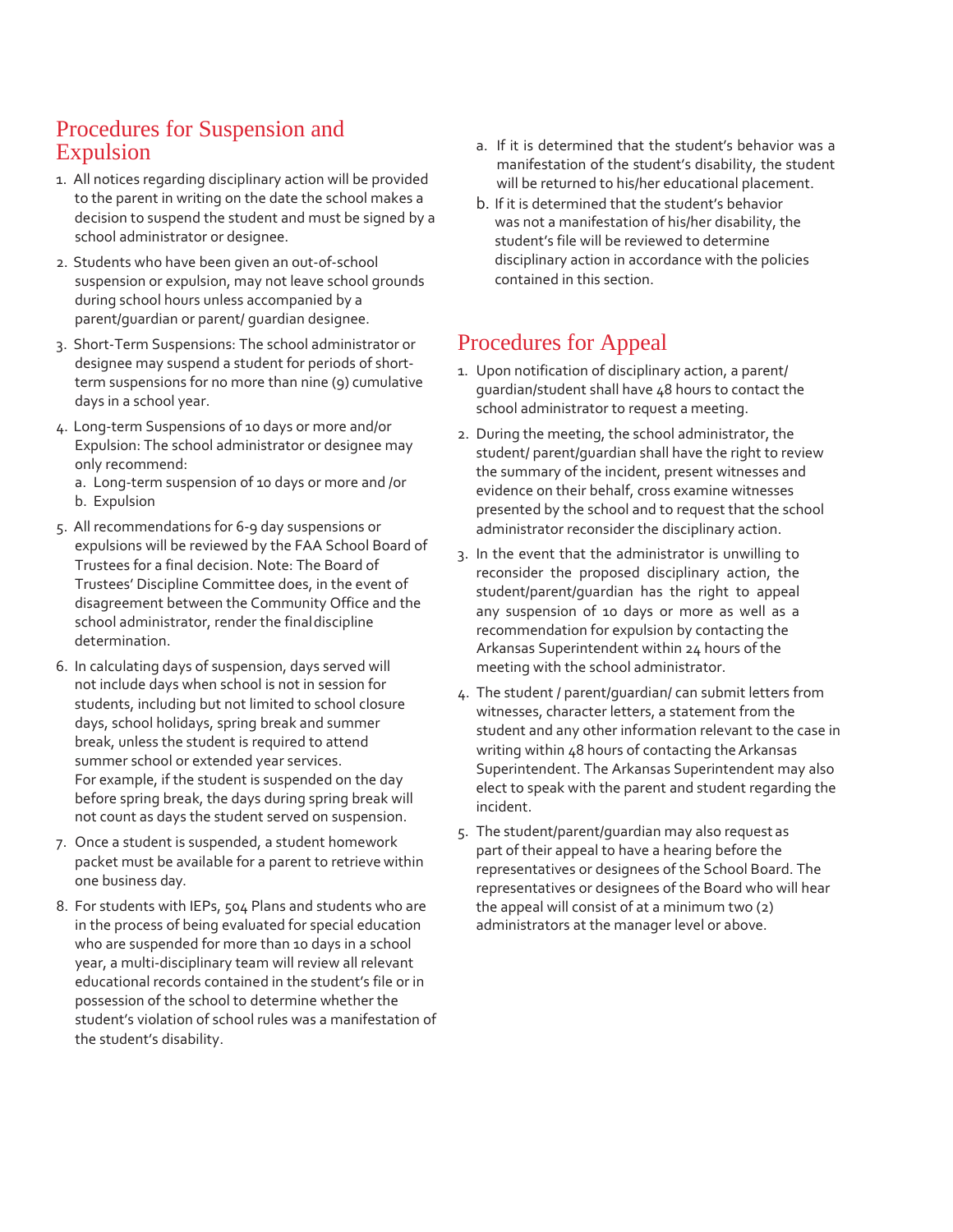# Procedures for Suspension and Expulsion

- 1. All notices regarding disciplinary action will be provided to the parent in writing on the date the school makes a decision to suspend the student and must be signed by a school administrator or designee.
- 2. Students who have been given an out-of-school suspension or expulsion, may not leave school grounds during school hours unless accompanied by a parent/guardian or parent/ guardian designee.
- 3. Short-Term Suspensions: The school administrator or designee may suspend a student for periods of shortterm suspensions for no more than nine (9) cumulative days in a school year.
- 4. Long-term Suspensions of 10 days or more and/or Expulsion: The school administrator or designee may only recommend:
	- a. Long-term suspension of 10 days or more and /or
	- b. Expulsion
- 5. All recommendations for 6-9 day suspensions or expulsions will be reviewed by the FAA School Board of Trustees for a final decision. Note: The Board of Trustees' Discipline Committee does, in the event of disagreement between the Community Office and the school administrator, render the finaldiscipline determination.
- 6. In calculating days of suspension, days served will not include days when school is not in session for students, including but not limited to school closure days, school holidays, spring break and summer break, unless the student is required to attend summer school or extended year services. For example, if the student is suspended on the day before spring break, the days during spring break will not count as days the student served on suspension.
- 7. Once a student is suspended, a student homework packet must be available for a parent to retrieve within one business day.
- 8. For students with IEPs, 504 Plans and students who are in the process of being evaluated for special education who are suspended for more than 10 days in a school year, a multi-disciplinary team will review all relevant educational records contained in the student's file or in possession of the school to determine whether the student's violation of school rules was a manifestation of the student's disability.
- a. If it is determined that the student's behavior was a manifestation of the student's disability, the student will be returned to his/her educational placement.
- b. If it is determined that the student's behavior was not a manifestation of his/her disability, the student's file will be reviewed to determine disciplinary action in accordance with the policies contained in this section.

# Procedures for Appeal

- 1. Upon notification of disciplinary action, a parent/ guardian/student shall have 48 hours to contact the school administrator to request a meeting.
- 2. During the meeting, the school administrator, the student/ parent/guardian shall have the right to review the summary of the incident, present witnesses and evidence on their behalf, cross examine witnesses presented by the school and to request that the school administrator reconsider the disciplinary action.
- 3. In the event that the administrator is unwilling to reconsider the proposed disciplinary action, the student/parent/guardian has the right to appeal any suspension of 10 days or more as well as a recommendation for expulsion by contacting the Arkansas Superintendent within 24 hours of the meeting with the school administrator.
- 4. The student / parent/guardian/ can submit letters from witnesses, character letters, a statement from the student and any other information relevant to the case in writing within 48 hours of contacting the Arkansas Superintendent. The Arkansas Superintendent may also elect to speak with the parent and student regarding the incident.
- 5. The student/parent/guardian may also request as part of their appeal to have a hearing before the representatives or designees of the School Board. The representatives or designees of the Board who will hear the appeal will consist of at a minimum two (2) administrators at the manager level or above.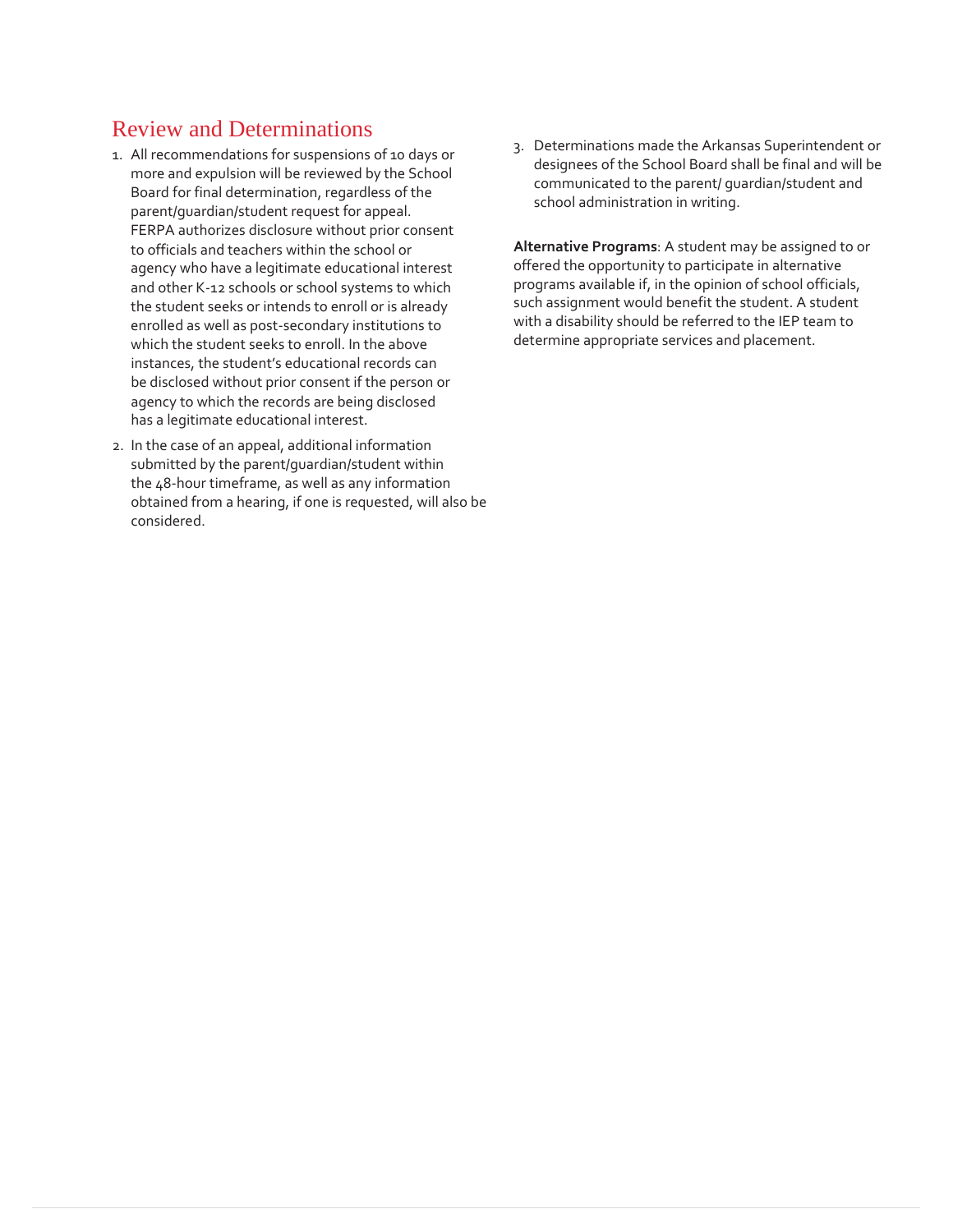# Review and Determinations

- 1. All recommendations for suspensions of 10 days or more and expulsion will be reviewed by the School Board for final determination, regardless of the parent/guardian/student request for appeal. FERPA authorizes disclosure without prior consent to officials and teachers within the school or agency who have a legitimate educational interest and other K-12 schools or school systems to which the student seeks or intends to enroll or is already enrolled as well as post-secondary institutions to which the student seeks to enroll. In the above instances, the student's educational records can be disclosed without prior consent if the person or agency to which the records are being disclosed has a legitimate educational interest.
- 2. In the case of an appeal, additional information submitted by the parent/guardian/student within the 48-hour timeframe, as well as any information obtained from a hearing, if one is requested, will also be considered.

3. Determinations made the Arkansas Superintendent or designees of the School Board shall be final and will be communicated to the parent/ guardian/student and school administration in writing.

**Alternative Programs**: A student may be assigned to or offered the opportunity to participate in alternative programs available if, in the opinion of school officials, such assignment would benefit the student. A student with a disability should be referred to the IEP team to determine appropriate services and placement.